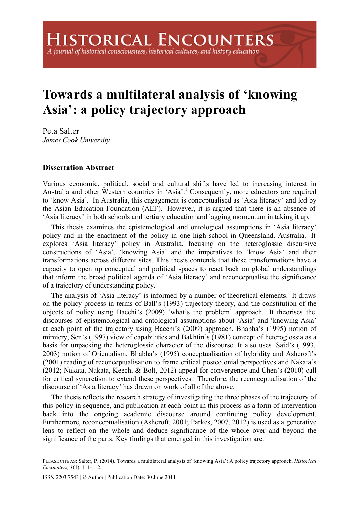## A journal of historical consciousness, historical cultures, and history education

## **Towards a multilateral analysis of 'knowing Asia': a policy trajectory approach**

Peta Salter *James Cook University* 

## **Dissertation Abstract**

Various economic, political, social and cultural shifts have led to increasing interest in Australia and other Western countries in 'Asia'.<sup>1</sup> Consequently, more educators are required to 'know Asia'. In Australia, this engagement is conceptualised as 'Asia literacy' and led by the Asian Education Foundation (AEF). However, it is argued that there is an absence of 'Asia literacy' in both schools and tertiary education and lagging momentum in taking it up.

This thesis examines the epistemological and ontological assumptions in 'Asia literacy' policy and in the enactment of the policy in one high school in Queensland, Australia. It explores 'Asia literacy' policy in Australia, focusing on the heteroglossic discursive constructions of 'Asia', 'knowing Asia' and the imperatives to 'know Asia' and their transformations across different sites. This thesis contends that these transformations have a capacity to open up conceptual and political spaces to react back on global understandings that inform the broad political agenda of 'Asia literacy' and reconceptualise the significance of a trajectory of understanding policy.

The analysis of 'Asia literacy' is informed by a number of theoretical elements. It draws on the policy process in terms of Ball's (1993) trajectory theory, and the constitution of the objects of policy using Bacchi's (2009) 'what's the problem' approach. It theorises the discourses of epistemological and ontological assumptions about 'Asia' and 'knowing Asia' at each point of the trajectory using Bacchi's (2009) approach, Bhabha's (1995) notion of mimicry, Sen's (1997) view of capabilities and Bakhtin's (1981) concept of heteroglossia as a basis for unpacking the heteroglossic character of the discourse. It also uses Said's (1993, 2003) notion of Orientalism, Bhabha's (1995) conceptualisation of hybridity and Ashcroft's (2001) reading of reconceptualisation to frame critical postcolonial perspectives and Nakata's (2012; Nakata, Nakata, Keech, & Bolt, 2012) appeal for convergence and Chen's (2010) call for critical syncretism to extend these perspectives. Therefore, the reconceptualisation of the discourse of 'Asia literacy' has drawn on work of all of the above.

The thesis reflects the research strategy of investigating the three phases of the trajectory of this policy in sequence, and publication at each point in this process as a form of intervention back into the ongoing academic discourse around continuing policy development. Furthermore, reconceptualisation (Ashcroft, 2001; Parkes, 2007, 2012) is used as a generative lens to reflect on the whole and deduce significance of the whole over and beyond the significance of the parts. Key findings that emerged in this investigation are:

PLEASE CITE AS: Salter, P. (2014). Towards a multilateral analysis of 'knowing Asia': A policy trajectory approach. *Historical Encounters, 1*(1), 111-112.